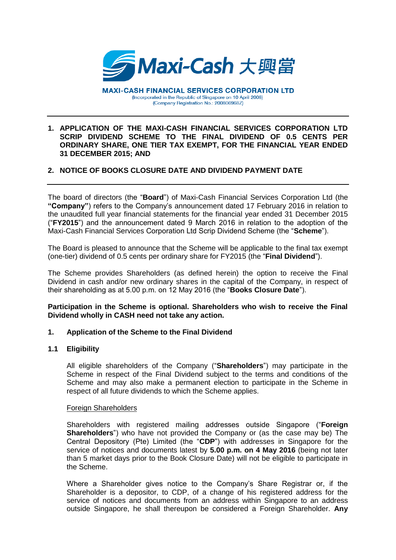

#### **1. APPLICATION OF THE MAXI-CASH FINANCIAL SERVICES CORPORATION LTD SCRIP DIVIDEND SCHEME TO THE FINAL DIVIDEND OF 0.5 CENTS PER ORDINARY SHARE, ONE TIER TAX EXEMPT, FOR THE FINANCIAL YEAR ENDED 31 DECEMBER 2015; AND**

# **2. NOTICE OF BOOKS CLOSURE DATE AND DIVIDEND PAYMENT DATE**

The board of directors (the "**Board**") of Maxi-Cash Financial Services Corporation Ltd (the **"Company"**) refers to the Company's announcement dated 17 February 2016 in relation to the unaudited full year financial statements for the financial year ended 31 December 2015 ("**FY2015**") and the announcement dated 9 March 2016 in relation to the adoption of the Maxi-Cash Financial Services Corporation Ltd Scrip Dividend Scheme (the "**Scheme**").

The Board is pleased to announce that the Scheme will be applicable to the final tax exempt (one-tier) dividend of 0.5 cents per ordinary share for FY2015 (the "**Final Dividend**").

The Scheme provides Shareholders (as defined herein) the option to receive the Final Dividend in cash and/or new ordinary shares in the capital of the Company, in respect of their shareholding as at 5.00 p.m. on 12 May 2016 (the "**Books Closure Date**").

## **Participation in the Scheme is optional. Shareholders who wish to receive the Final Dividend wholly in CASH need not take any action.**

# **1. Application of the Scheme to the Final Dividend**

#### **1.1 Eligibility**

All eligible shareholders of the Company ("**Shareholders**") may participate in the Scheme in respect of the Final Dividend subject to the terms and conditions of the Scheme and may also make a permanent election to participate in the Scheme in respect of all future dividends to which the Scheme applies.

#### Foreign Shareholders

Shareholders with registered mailing addresses outside Singapore ("**Foreign Shareholders**") who have not provided the Company or (as the case may be) The Central Depository (Pte) Limited (the "**CDP**") with addresses in Singapore for the service of notices and documents latest by **5.00 p.m. on 4 May 2016** (being not later than 5 market days prior to the Book Closure Date) will not be eligible to participate in the Scheme.

Where a Shareholder gives notice to the Company's Share Registrar or, if the Shareholder is a depositor, to CDP, of a change of his registered address for the service of notices and documents from an address within Singapore to an address outside Singapore, he shall thereupon be considered a Foreign Shareholder. **Any**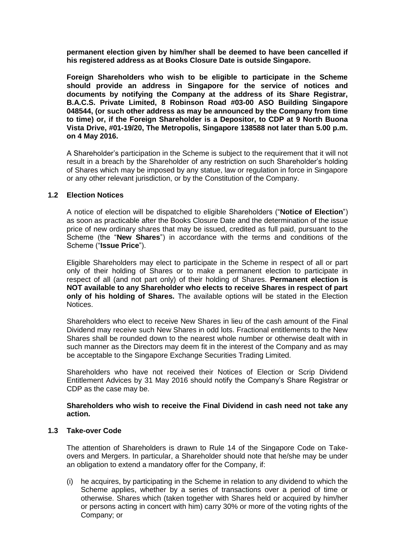**permanent election given by him/her shall be deemed to have been cancelled if his registered address as at Books Closure Date is outside Singapore.**

**Foreign Shareholders who wish to be eligible to participate in the Scheme should provide an address in Singapore for the service of notices and documents by notifying the Company at the address of its Share Registrar, B.A.C.S. Private Limited, 8 Robinson Road #03-00 ASO Building Singapore 048544, (or such other address as may be announced by the Company from time to time) or, if the Foreign Shareholder is a Depositor, to CDP at 9 North Buona Vista Drive, #01-19/20, The Metropolis, Singapore 138588 not later than 5.00 p.m. on 4 May 2016.** 

A Shareholder's participation in the Scheme is subject to the requirement that it will not result in a breach by the Shareholder of any restriction on such Shareholder's holding of Shares which may be imposed by any statue, law or regulation in force in Singapore or any other relevant jurisdiction, or by the Constitution of the Company.

## **1.2 Election Notices**

A notice of election will be dispatched to eligible Shareholders ("**Notice of Election**") as soon as practicable after the Books Closure Date and the determination of the issue price of new ordinary shares that may be issued, credited as full paid, pursuant to the Scheme (the "**New Shares**") in accordance with the terms and conditions of the Scheme ("**Issue Price**").

Eligible Shareholders may elect to participate in the Scheme in respect of all or part only of their holding of Shares or to make a permanent election to participate in respect of all (and not part only) of their holding of Shares. **Permanent election is NOT available to any Shareholder who elects to receive Shares in respect of part only of his holding of Shares.** The available options will be stated in the Election Notices.

Shareholders who elect to receive New Shares in lieu of the cash amount of the Final Dividend may receive such New Shares in odd lots. Fractional entitlements to the New Shares shall be rounded down to the nearest whole number or otherwise dealt with in such manner as the Directors may deem fit in the interest of the Company and as may be acceptable to the Singapore Exchange Securities Trading Limited.

Shareholders who have not received their Notices of Election or Scrip Dividend Entitlement Advices by 31 May 2016 should notify the Company's Share Registrar or CDP as the case may be.

## **Shareholders who wish to receive the Final Dividend in cash need not take any action.**

#### **1.3 Take-over Code**

The attention of Shareholders is drawn to Rule 14 of the Singapore Code on Takeovers and Mergers. In particular, a Shareholder should note that he/she may be under an obligation to extend a mandatory offer for the Company, if:

(i) he acquires, by participating in the Scheme in relation to any dividend to which the Scheme applies, whether by a series of transactions over a period of time or otherwise. Shares which (taken together with Shares held or acquired by him/her or persons acting in concert with him) carry 30% or more of the voting rights of the Company; or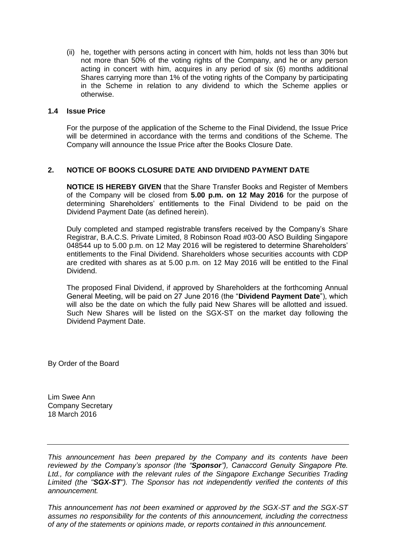(ii) he, together with persons acting in concert with him, holds not less than 30% but not more than 50% of the voting rights of the Company, and he or any person acting in concert with him, acquires in any period of six (6) months additional Shares carrying more than 1% of the voting rights of the Company by participating in the Scheme in relation to any dividend to which the Scheme applies or otherwise.

## **1.4 Issue Price**

For the purpose of the application of the Scheme to the Final Dividend, the Issue Price will be determined in accordance with the terms and conditions of the Scheme. The Company will announce the Issue Price after the Books Closure Date.

# **2. NOTICE OF BOOKS CLOSURE DATE AND DIVIDEND PAYMENT DATE**

**NOTICE IS HEREBY GIVEN** that the Share Transfer Books and Register of Members of the Company will be closed from **5.00 p.m. on 12 May 2016** for the purpose of determining Shareholders' entitlements to the Final Dividend to be paid on the Dividend Payment Date (as defined herein).

Duly completed and stamped registrable transfers received by the Company's Share Registrar, B.A.C.S. Private Limited, 8 Robinson Road #03-00 ASO Building Singapore 048544 up to 5.00 p.m. on 12 May 2016 will be registered to determine Shareholders' entitlements to the Final Dividend. Shareholders whose securities accounts with CDP are credited with shares as at 5.00 p.m. on 12 May 2016 will be entitled to the Final Dividend.

The proposed Final Dividend, if approved by Shareholders at the forthcoming Annual General Meeting, will be paid on 27 June 2016 (the "**Dividend Payment Date**"), which will also be the date on which the fully paid New Shares will be allotted and issued. Such New Shares will be listed on the SGX-ST on the market day following the Dividend Payment Date.

By Order of the Board

Lim Swee Ann Company Secretary 18 March 2016

*This announcement has been prepared by the Company and its contents have been reviewed by the Company's sponsor (the "Sponsor"), Canaccord Genuity Singapore Pte. Ltd., for compliance with the relevant rules of the Singapore Exchange Securities Trading Limited (the "SGX-ST"). The Sponsor has not independently verified the contents of this announcement.*

*This announcement has not been examined or approved by the SGX-ST and the SGX-ST assumes no responsibility for the contents of this announcement, including the correctness of any of the statements or opinions made, or reports contained in this announcement.*